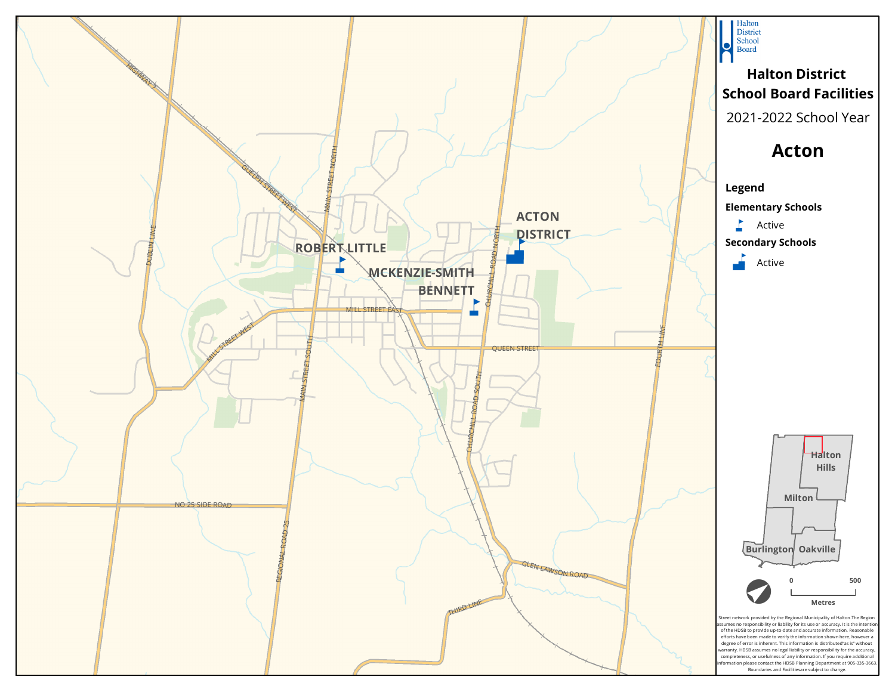